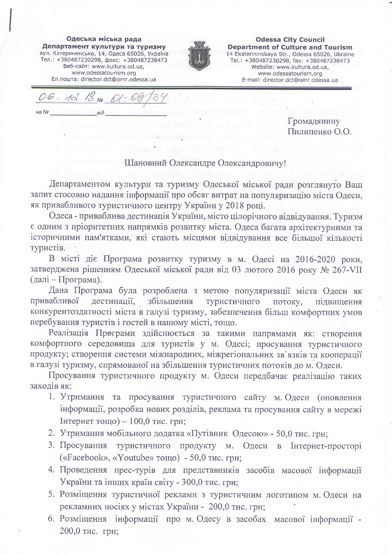Одеська міська рада Департамент культури та туризму вул. Катерининська, 14, Одеса 65026, Україна Тел.: +380487230298, факс: +380487238473 Веб-сайт: www.kultura.od.ua. www.odessatourism.org Ел. пошта: director.dct@omr.odessa.ua



**Odessa City Council Department of Culture and Tourism** 14 Ekaterininskaya Str., Odessa 65026, Ukraine Tel.: +380487230298, fax: +380487238473 Website: www.kultura.od.ua. www.odessatourism.org E-mail: director.dct@omr.odessa.ua

06. 12.18 No  $Ha$   $N<sub>2</sub>$ 

Громадянину Пилипенко О.О.

## Шановний Олександре Олександровичу!

Департаментом культури та туризму Одеської міської ради розглянуто Ваш запит стосовно надання інформації про обсяг витрат на популяризацію міста Одеси, як привабливого туристичного центру України у 2018 році.

Одеса - приваблива дестинація України, місто цілорічного відвідування. Туризм є одним з пріоритетних напрямків розвитку міста. Одеса багата архітектурними та історичними пам'ятками, які стають місцями відвідування все більшої кількості туристів.

В місті діє Програма розвитку туризму в м. Одесі на 2016-2020 роки, затверджена рішенням Одеської міської ради від 03 лютого 2016 року № 267-VII  $(\text{далі} - \text{Програма}).$ 

Дана Програма була розроблена з метою популяризації міста Одеси як дестинації, збільшення привабливої туристичного потоку, пілвишення конкурентоздатності міста в галузі туризму, забезпечення більш комфортних умов перебування туристів і гостей в нашому місті, тощо.

Реалізація Програми здійснюється за такими напрямами як: створення комфортного середовища для туристів у м. Одесі; просування туристичного продукту; створення системи міжнародних, міжрегіональних зв'язків та кооперації в галузі туризму, спрямованої на збільшення туристичних потоків до м. Одеси.

Просування туристичного продукту м. Одеси передбачає реалізацію таких заходів як:

- 1. Утримання та просування туристичного сайту м. Одеси (оновлення інформації, розробка нових розділів, реклама та просування сайту в мережі Інтернет тощо) –  $100,0$  тис. грн;
- 2. Утримання мобільного додатка «Путівник Одесою» 50,0 тис. грн;
- 3. Просування туристичного продукту м. Одеси в Інтернет-просторі («Facebook», «Youtube» тощо) - 50,0 тис. грн;
- 4. Проведення прес-турів для представників засобів масової інформації України та інших країн світу - 300,0 тис. грн;
- 5. Розміщення туристичної реклами з туристичним логотипом м. Одеси на рекламних носіях у містах України - 200,0 тис. грн;
- 6. Розміщення інформації про м. Одесу в засобах масової інформації -200,0 тис. грн;